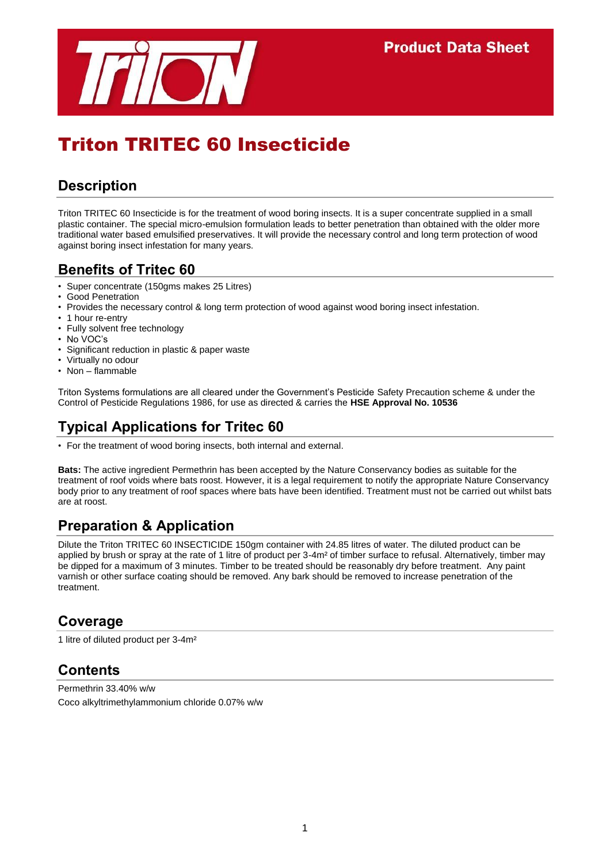

# Triton TRITEC 60 Insecticide

## **Description**

Triton TRITEC 60 Insecticide is for the treatment of wood boring insects. It is a super concentrate supplied in a small plastic container. The special micro-emulsion formulation leads to better penetration than obtained with the older more traditional water based emulsified preservatives. It will provide the necessary control and long term protection of wood against boring insect infestation for many years.

### **Benefits of Tritec 60**

- Super concentrate (150gms makes 25 Litres)
- Good Penetration
- Provides the necessary control & long term protection of wood against wood boring insect infestation.
- 1 hour re-entry
- Fully solvent free technology
- No VOC's
- Significant reduction in plastic & paper waste
- Virtually no odour
- Non flammable

Triton Systems formulations are all cleared under the Government's Pesticide Safety Precaution scheme & under the Control of Pesticide Regulations 1986, for use as directed & carries the **HSE Approval No. 10536**

## **Typical Applications for Tritec 60**

• For the treatment of wood boring insects, both internal and external.

**Bats:** The active ingredient Permethrin has been accepted by the Nature Conservancy bodies as suitable for the treatment of roof voids where bats roost. However, it is a legal requirement to notify the appropriate Nature Conservancy body prior to any treatment of roof spaces where bats have been identified. Treatment must not be carried out whilst bats are at roost.

## **Preparation & Application**

Dilute the Triton TRITEC 60 INSECTICIDE 150gm container with 24.85 litres of water. The diluted product can be applied by brush or spray at the rate of 1 litre of product per 3-4m² of timber surface to refusal. Alternatively, timber may be dipped for a maximum of 3 minutes. Timber to be treated should be reasonably dry before treatment. Any paint varnish or other surface coating should be removed. Any bark should be removed to increase penetration of the treatment.

#### **Coverage**

1 litre of diluted product per 3-4m²

### **Contents**

Permethrin 33.40% w/w Coco alkyltrimethylammonium chloride 0.07% w/w